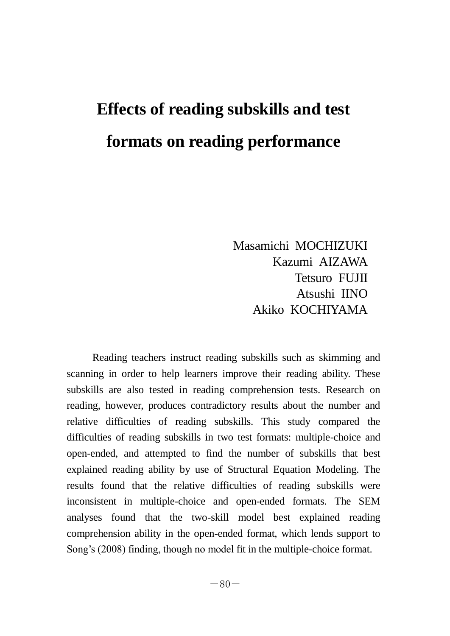# **Effects of reading subskills and test formats on reading performance**

Masamichi MOCHIZUKI Kazumi AIZAWA Tetsuro FUJII Atsushi IINO Akiko KOCHIYAMA

Reading teachers instruct reading subskills such as skimming and scanning in order to help learners improve their reading ability. These subskills are also tested in reading comprehension tests. Research on reading, however, produces contradictory results about the number and relative difficulties of reading subskills. This study compared the difficulties of reading subskills in two test formats: multiple-choice and open-ended, and attempted to find the number of subskills that best explained reading ability by use of Structural Equation Modeling. The results found that the relative difficulties of reading subskills were inconsistent in multiple-choice and open-ended formats. The SEM analyses found that the two-skill model best explained reading comprehension ability in the open-ended format, which lends support to Song's (2008) finding, though no model fit in the multiple-choice format.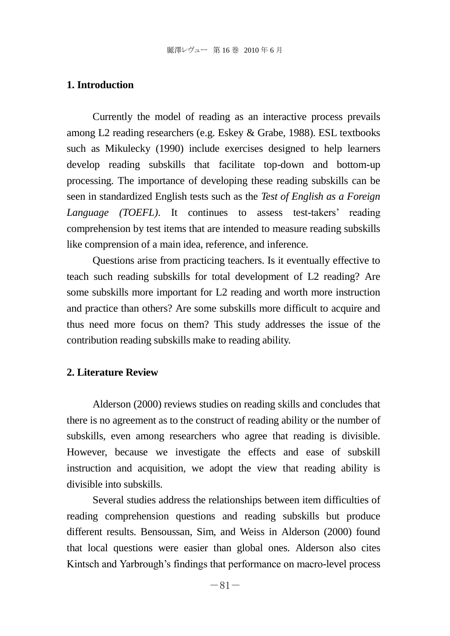# **1. Introduction**

Currently the model of reading as an interactive process prevails among L2 reading researchers (e.g. Eskey & Grabe, 1988). ESL textbooks such as Mikulecky (1990) include exercises designed to help learners develop reading subskills that facilitate top-down and bottom-up processing. The importance of developing these reading subskills can be seen in standardized English tests such as the *Test of English as a Foreign Language (TOEFL)*. It continues to assess test-takers' reading comprehension by test items that are intended to measure reading subskills like comprension of a main idea, reference, and inference.

Questions arise from practicing teachers. Is it eventually effective to teach such reading subskills for total development of L2 reading? Are some subskills more important for L2 reading and worth more instruction and practice than others? Are some subskills more difficult to acquire and thus need more focus on them? This study addresses the issue of the contribution reading subskills make to reading ability.

## **2. Literature Review**

Alderson (2000) reviews studies on reading skills and concludes that there is no agreement as to the construct of reading ability or the number of subskills, even among researchers who agree that reading is divisible. However, because we investigate the effects and ease of subskill instruction and acquisition, we adopt the view that reading ability is divisible into subskills.

Several studies address the relationships between item difficulties of reading comprehension questions and reading subskills but produce different results. Bensoussan, Sim, and Weiss in Alderson (2000) found that local questions were easier than global ones. Alderson also cites Kintsch and Yarbrough's findings that performance on macro-level process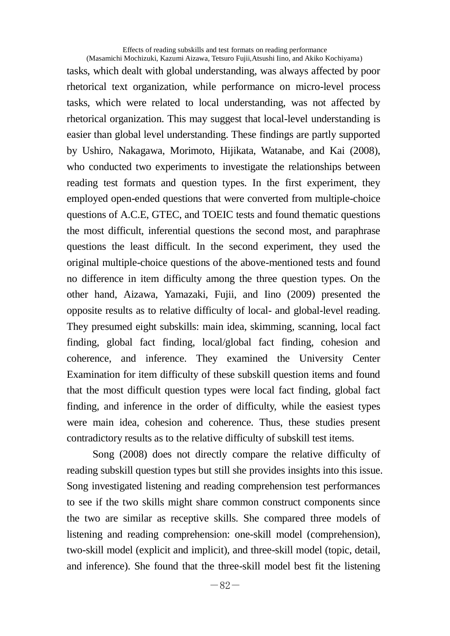Effects of reading subskills and test formats on reading performance (Masamichi Mochizuki, Kazumi Aizawa, Tetsuro Fujii,Atsushi Iino, and Akiko Kochiyama)

tasks, which dealt with global understanding, was always affected by poor rhetorical text organization, while performance on micro-level process tasks, which were related to local understanding, was not affected by rhetorical organization. This may suggest that local-level understanding is easier than global level understanding. These findings are partly supported by Ushiro, Nakagawa, Morimoto, Hijikata, Watanabe, and Kai (2008), who conducted two experiments to investigate the relationships between reading test formats and question types. In the first experiment, they employed open-ended questions that were converted from multiple-choice questions of A.C.E, GTEC, and TOEIC tests and found thematic questions the most difficult, inferential questions the second most, and paraphrase questions the least difficult. In the second experiment, they used the original multiple-choice questions of the above-mentioned tests and found no difference in item difficulty among the three question types. On the other hand, Aizawa, Yamazaki, Fujii, and Iino (2009) presented the opposite results as to relative difficulty of local- and global-level reading. They presumed eight subskills: main idea, skimming, scanning, local fact finding, global fact finding, local/global fact finding, cohesion and coherence, and inference. They examined the University Center Examination for item difficulty of these subskill question items and found that the most difficult question types were local fact finding, global fact finding, and inference in the order of difficulty, while the easiest types were main idea, cohesion and coherence. Thus, these studies present contradictory results as to the relative difficulty of subskill test items.

Song (2008) does not directly compare the relative difficulty of reading subskill question types but still she provides insights into this issue. Song investigated listening and reading comprehension test performances to see if the two skills might share common construct components since the two are similar as receptive skills. She compared three models of listening and reading comprehension: one-skill model (comprehension), two-skill model (explicit and implicit), and three-skill model (topic, detail, and inference). She found that the three-skill model best fit the listening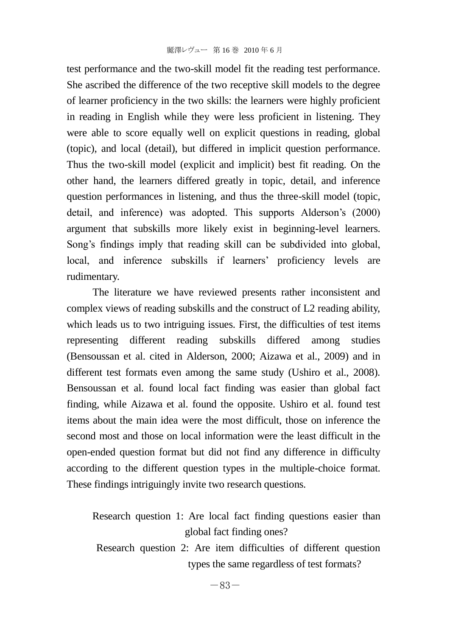test performance and the two-skill model fit the reading test performance. She ascribed the difference of the two receptive skill models to the degree of learner proficiency in the two skills: the learners were highly proficient in reading in English while they were less proficient in listening. They were able to score equally well on explicit questions in reading, global (topic), and local (detail), but differed in implicit question performance. Thus the two-skill model (explicit and implicit) best fit reading. On the other hand, the learners differed greatly in topic, detail, and inference question performances in listening, and thus the three-skill model (topic, detail, and inference) was adopted. This supports Alderson's (2000) argument that subskills more likely exist in beginning-level learners. Song's findings imply that reading skill can be subdivided into global, local, and inference subskills if learners' proficiency levels are rudimentary.

The literature we have reviewed presents rather inconsistent and complex views of reading subskills and the construct of L2 reading ability, which leads us to two intriguing issues. First, the difficulties of test items representing different reading subskills differed among studies (Bensoussan et al. cited in Alderson, 2000; Aizawa et al., 2009) and in different test formats even among the same study (Ushiro et al., 2008). Bensoussan et al. found local fact finding was easier than global fact finding, while Aizawa et al. found the opposite. Ushiro et al. found test items about the main idea were the most difficult, those on inference the second most and those on local information were the least difficult in the open-ended question format but did not find any difference in difficulty according to the different question types in the multiple-choice format. These findings intriguingly invite two research questions.

Research question 1: Are local fact finding questions easier than global fact finding ones?

Research question 2: Are item difficulties of different question types the same regardless of test formats?

 $-83-$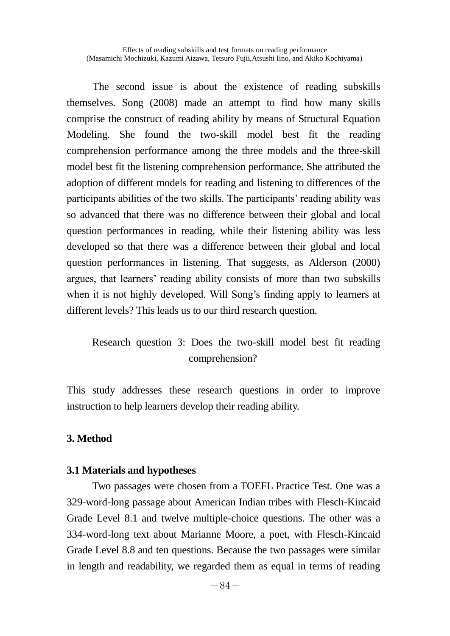Effects of reading subskills and test formats on reading performance (Masamichi Mochizuki, Kazumi Aizawa, Tetsuro Fujii,Atsushi Iino, and Akiko Kochiyama)

The second issue is about the existence of reading subskills themselves. Song (2008) made an attempt to find how many skills comprise the construct of reading ability by means of Structural Equation Modeling. She found the two-skill model best fit the reading comprehension performance among the three models and the three-skill model best fit the listening comprehension performance. She attributed the adoption of different models for reading and listening to differences of the participants abilities of the two skills. The participants' reading ability was so advanced that there was no difference between their global and local question performances in reading, while their listening ability was less developed so that there was a difference between their global and local question performances in listening. That suggests, as Alderson (2000) argues, that learners' reading ability consists of more than two subskills when it is not highly developed. Will Song's finding apply to learners at different levels? This leads us to our third research question.

# Research question 3: Does the two-skill model best fit reading comprehension?

This study addresses these research questions in order to improve instruction to help learners develop their reading ability.

# **3. Method**

### **3.1 Materials and hypotheses**

Two passages were chosen from a TOEFL Practice Test. One was a 329-word-long passage about American Indian tribes with Flesch-Kincaid Grade Level 8.1 and twelve multiple-choice questions. The other was a 334-word-long text about Marianne Moore, a poet, with Flesch-Kincaid Grade Level 8.8 and ten questions. Because the two passages were similar in length and readability, we regarded them as equal in terms of reading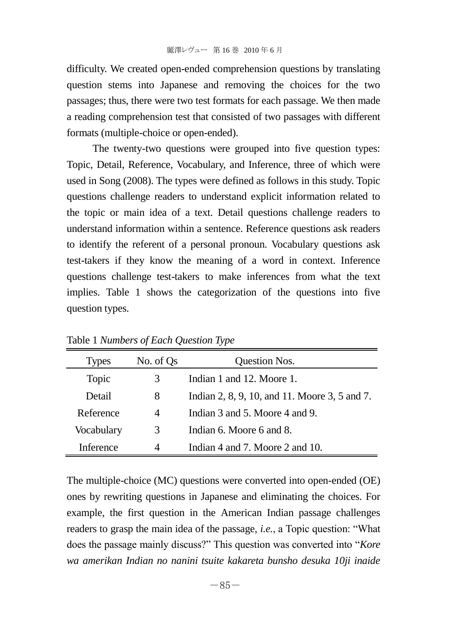difficulty. We created open-ended comprehension questions by translating question stems into Japanese and removing the choices for the two passages; thus, there were two test formats for each passage. We then made a reading comprehension test that consisted of two passages with different formats (multiple-choice or open-ended).

The twenty-two questions were grouped into five question types: Topic, Detail, Reference, Vocabulary, and Inference, three of which were used in Song (2008). The types were defined as follows in this study. Topic questions challenge readers to understand explicit information related to the topic or main idea of a text. Detail questions challenge readers to understand information within a sentence. Reference questions ask readers to identify the referent of a personal pronoun. Vocabulary questions ask test-takers if they know the meaning of a word in context. Inference questions challenge test-takers to make inferences from what the text implies. Table 1 shows the categorization of the questions into five question types.

| <b>Types</b> | No. of Qs | Question Nos.                                 |  |  |
|--------------|-----------|-----------------------------------------------|--|--|
| Topic        | 3         | Indian 1 and 12. Moore 1.                     |  |  |
| Detail       | 8         | Indian 2, 8, 9, 10, and 11. Moore 3, 5 and 7. |  |  |
| Reference    | 4         | Indian 3 and 5. Moore 4 and 9.                |  |  |
| Vocabulary   | 3         | Indian 6. Moore 6 and 8.                      |  |  |
| Inference    | 4         | Indian 4 and 7. Moore 2 and 10.               |  |  |

Table 1 *Numbers of Each Question Type*

The multiple-choice (MC) questions were converted into open-ended (OE) ones by rewriting questions in Japanese and eliminating the choices. For example, the first question in the American Indian passage challenges readers to grasp the main idea of the passage, *i.e.*, a Topic question: "What does the passage mainly discuss?" This question was converted into "*Kore wa amerikan Indian no nanini tsuite kakareta bunsho desuka 10ji inaide*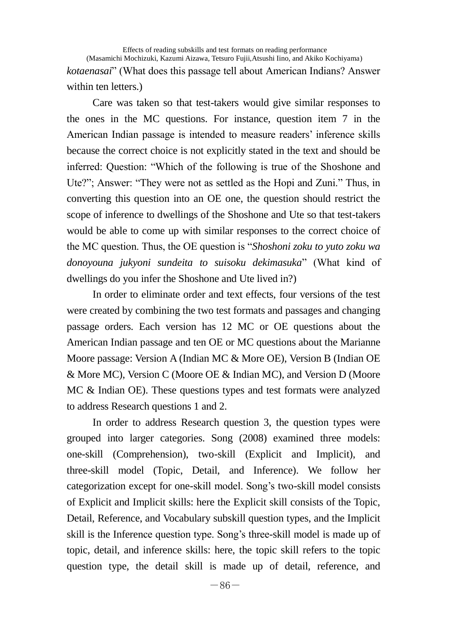Effects of reading subskills and test formats on reading performance (Masamichi Mochizuki, Kazumi Aizawa, Tetsuro Fujii,Atsushi Iino, and Akiko Kochiyama) *kotaenasai*" (What does this passage tell about American Indians? Answer within ten letters.)

Care was taken so that test-takers would give similar responses to the ones in the MC questions. For instance, question item 7 in the American Indian passage is intended to measure readers' inference skills because the correct choice is not explicitly stated in the text and should be inferred: Question: "Which of the following is true of the Shoshone and Ute?"; Answer: "They were not as settled as the Hopi and Zuni." Thus, in converting this question into an OE one, the question should restrict the scope of inference to dwellings of the Shoshone and Ute so that test-takers would be able to come up with similar responses to the correct choice of the MC question. Thus, the OE question is "*Shoshoni zoku to yuto zoku wa donoyouna jukyoni sundeita to suisoku dekimasuka*" (What kind of dwellings do you infer the Shoshone and Ute lived in?)

In order to eliminate order and text effects, four versions of the test were created by combining the two test formats and passages and changing passage orders. Each version has 12 MC or OE questions about the American Indian passage and ten OE or MC questions about the Marianne Moore passage: Version A (Indian MC & More OE), Version B (Indian OE & More MC), Version C (Moore OE & Indian MC), and Version D (Moore MC & Indian OE). These questions types and test formats were analyzed to address Research questions 1 and 2.

In order to address Research question 3, the question types were grouped into larger categories. Song (2008) examined three models: one-skill (Comprehension), two-skill (Explicit and Implicit), and three-skill model (Topic, Detail, and Inference). We follow her categorization except for one-skill model. Song's two-skill model consists of Explicit and Implicit skills: here the Explicit skill consists of the Topic, Detail, Reference, and Vocabulary subskill question types, and the Implicit skill is the Inference question type. Song's three-skill model is made up of topic, detail, and inference skills: here, the topic skill refers to the topic question type, the detail skill is made up of detail, reference, and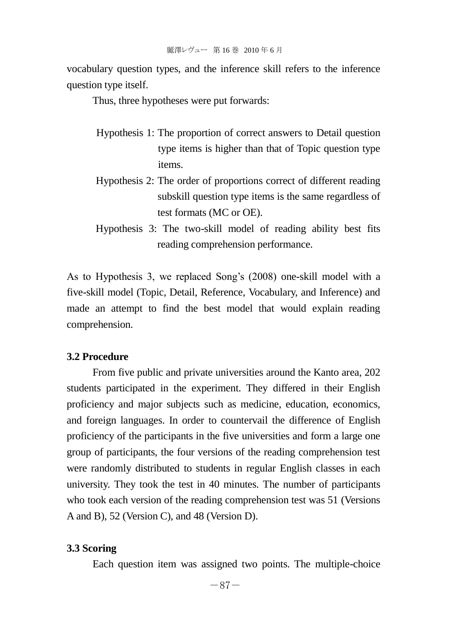vocabulary question types, and the inference skill refers to the inference question type itself.

Thus, three hypotheses were put forwards:

- Hypothesis 1: The proportion of correct answers to Detail question type items is higher than that of Topic question type items.
- Hypothesis 2: The order of proportions correct of different reading subskill question type items is the same regardless of test formats (MC or OE).
- Hypothesis 3: The two-skill model of reading ability best fits reading comprehension performance.

As to Hypothesis 3, we replaced Song's (2008) one-skill model with a five-skill model (Topic, Detail, Reference, Vocabulary, and Inference) and made an attempt to find the best model that would explain reading comprehension.

# **3.2 Procedure**

From five public and private universities around the Kanto area, 202 students participated in the experiment. They differed in their English proficiency and major subjects such as medicine, education, economics, and foreign languages. In order to countervail the difference of English proficiency of the participants in the five universities and form a large one group of participants, the four versions of the reading comprehension test were randomly distributed to students in regular English classes in each university. They took the test in 40 minutes. The number of participants who took each version of the reading comprehension test was 51 (Versions A and B), 52 (Version C), and 48 (Version D).

#### **3.3 Scoring**

Each question item was assigned two points. The multiple-choice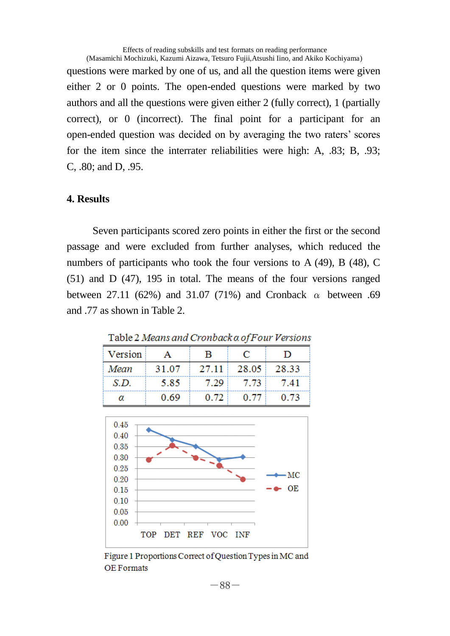Effects of reading subskills and test formats on reading performance (Masamichi Mochizuki, Kazumi Aizawa, Tetsuro Fujii,Atsushi Iino, and Akiko Kochiyama) questions were marked by one of us, and all the question items were given either 2 or 0 points. The open-ended questions were marked by two authors and all the questions were given either 2 (fully correct), 1 (partially correct), or 0 (incorrect). The final point for a participant for an open-ended question was decided on by averaging the two raters' scores for the item since the interrater reliabilities were high: A, .83; B, .93; C, .80; and D, .95.

# **4. Results**

Seven participants scored zero points in either the first or the second passage and were excluded from further analyses, which reduced the numbers of participants who took the four versions to A (49), B (48), C (51) and D (47), 195 in total. The means of the four versions ranged between 27.11 (62%) and 31.07 (71%) and Cronback  $\alpha$  between .69 and .77 as shown in Table 2.

| Version | А     | в     | с     | D     |  |
|---------|-------|-------|-------|-------|--|
| Mean    | 31.07 | 27.11 | 28.05 | 28.33 |  |
| S.D.    | 5.85  | 7.29  | 7.73  | 7.41  |  |
| α       | 0.69  | 0.72  | 0.77  | 0.73  |  |

Table 2 Means and Cronback a of Four Versions



Figure 1 Proportions Correct of Question Types in MC and **OE Formats**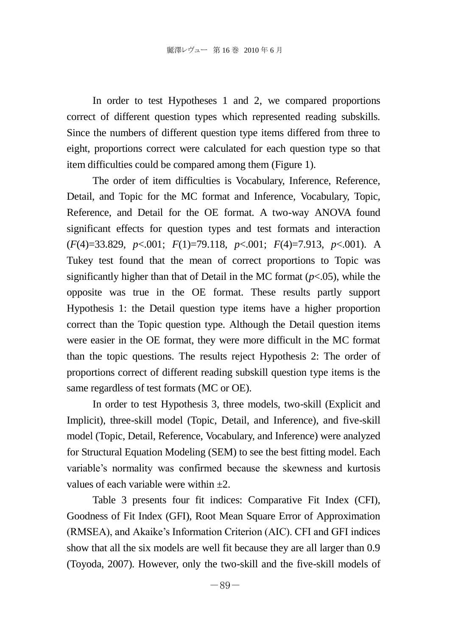In order to test Hypotheses 1 and 2, we compared proportions correct of different question types which represented reading subskills. Since the numbers of different question type items differed from three to eight, proportions correct were calculated for each question type so that item difficulties could be compared among them (Figure 1).

The order of item difficulties is Vocabulary, Inference, Reference, Detail, and Topic for the MC format and Inference, Vocabulary, Topic, Reference, and Detail for the OE format. A two-way ANOVA found significant effects for question types and test formats and interaction (*F*(4)=33.829, *p*<.001; *F*(1)=79.118, *p*<.001; *F*(4)=7.913, *p*<.001). A Tukey test found that the mean of correct proportions to Topic was significantly higher than that of Detail in the MC format  $(p<0.05)$ , while the opposite was true in the OE format. These results partly support Hypothesis 1: the Detail question type items have a higher proportion correct than the Topic question type. Although the Detail question items were easier in the OE format, they were more difficult in the MC format than the topic questions. The results reject Hypothesis 2: The order of proportions correct of different reading subskill question type items is the same regardless of test formats (MC or OE).

In order to test Hypothesis 3, three models, two-skill (Explicit and Implicit), three-skill model (Topic, Detail, and Inference), and five-skill model (Topic, Detail, Reference, Vocabulary, and Inference) were analyzed for Structural Equation Modeling (SEM) to see the best fitting model. Each variable's normality was confirmed because the skewness and kurtosis values of each variable were within  $\pm 2$ .

Table 3 presents four fit indices: Comparative Fit Index (CFI), Goodness of Fit Index (GFI), Root Mean Square Error of Approximation (RMSEA), and Akaike's Information Criterion (AIC). CFI and GFI indices show that all the six models are well fit because they are all larger than 0.9 (Toyoda, 2007). However, only the two-skill and the five-skill models of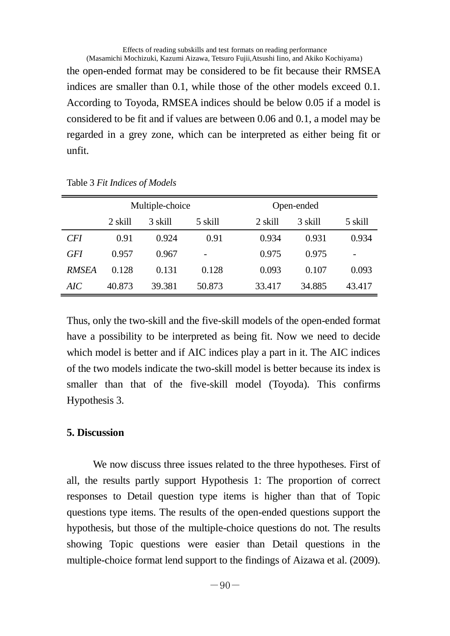Effects of reading subskills and test formats on reading performance (Masamichi Mochizuki, Kazumi Aizawa, Tetsuro Fujii,Atsushi Iino, and Akiko Kochiyama) the open-ended format may be considered to be fit because their RMSEA indices are smaller than 0.1, while those of the other models exceed 0.1. According to Toyoda, RMSEA indices should be below 0.05 if a model is considered to be fit and if values are between 0.06 and 0.1, a model may be regarded in a grey zone, which can be interpreted as either being fit or unfit.

|              | Multiple-choice |         |         | Open-ended |         |                          |
|--------------|-----------------|---------|---------|------------|---------|--------------------------|
|              | 2 skill         | 3 skill | 5 skill | 2 skill    | 3 skill | 5 skill                  |
| CFI          | 0.91            | 0.924   | 0.91    | 0.934      | 0.931   | 0.934                    |
| GFI          | 0.957           | 0.967   |         | 0.975      | 0.975   | $\overline{\phantom{0}}$ |
| <b>RMSEA</b> | 0.128           | 0.131   | 0.128   | 0.093      | 0.107   | 0.093                    |
| AIC          | 40.873          | 39.381  | 50.873  | 33.417     | 34.885  | 43.417                   |

Table 3 *Fit Indices of Models*

Thus, only the two-skill and the five-skill models of the open-ended format have a possibility to be interpreted as being fit. Now we need to decide which model is better and if AIC indices play a part in it. The AIC indices of the two models indicate the two-skill model is better because its index is smaller than that of the five-skill model (Toyoda). This confirms Hypothesis 3.

## **5. Discussion**

 We now discuss three issues related to the three hypotheses. First of all, the results partly support Hypothesis 1: The proportion of correct responses to Detail question type items is higher than that of Topic questions type items. The results of the open-ended questions support the hypothesis, but those of the multiple-choice questions do not. The results showing Topic questions were easier than Detail questions in the multiple-choice format lend support to the findings of Aizawa et al. (2009).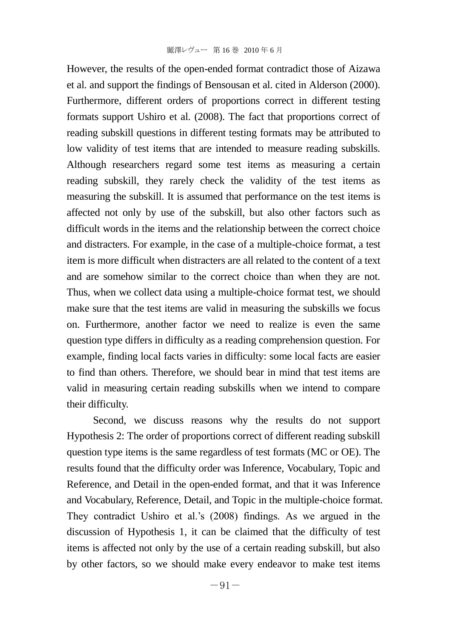However, the results of the open-ended format contradict those of Aizawa et al. and support the findings of Bensousan et al. cited in Alderson (2000). Furthermore, different orders of proportions correct in different testing formats support Ushiro et al. (2008). The fact that proportions correct of reading subskill questions in different testing formats may be attributed to low validity of test items that are intended to measure reading subskills. Although researchers regard some test items as measuring a certain reading subskill, they rarely check the validity of the test items as measuring the subskill. It is assumed that performance on the test items is affected not only by use of the subskill, but also other factors such as difficult words in the items and the relationship between the correct choice and distracters. For example, in the case of a multiple-choice format, a test item is more difficult when distracters are all related to the content of a text and are somehow similar to the correct choice than when they are not. Thus, when we collect data using a multiple-choice format test, we should make sure that the test items are valid in measuring the subskills we focus on. Furthermore, another factor we need to realize is even the same question type differs in difficulty as a reading comprehension question. For example, finding local facts varies in difficulty: some local facts are easier to find than others. Therefore, we should bear in mind that test items are valid in measuring certain reading subskills when we intend to compare their difficulty.

 Second, we discuss reasons why the results do not support Hypothesis 2: The order of proportions correct of different reading subskill question type items is the same regardless of test formats (MC or OE). The results found that the difficulty order was Inference, Vocabulary, Topic and Reference, and Detail in the open-ended format, and that it was Inference and Vocabulary, Reference, Detail, and Topic in the multiple-choice format. They contradict Ushiro et al.'s (2008) findings. As we argued in the discussion of Hypothesis 1, it can be claimed that the difficulty of test items is affected not only by the use of a certain reading subskill, but also by other factors, so we should make every endeavor to make test items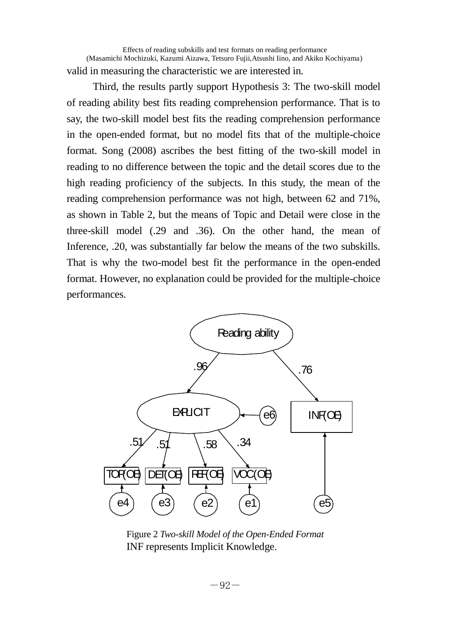Effects of reading subskills and test formats on reading performance (Masamichi Mochizuki, Kazumi Aizawa, Tetsuro Fujii,Atsushi Iino, and Akiko Kochiyama) valid in measuring the characteristic we are interested in.

 Third, the results partly support Hypothesis 3: The two-skill model of reading ability best fits reading comprehension performance. That is to say, the two-skill model best fits the reading comprehension performance in the open-ended format, but no model fits that of the multiple-choice format. Song (2008) ascribes the best fitting of the two-skill model in reading to no difference between the topic and the detail scores due to the high reading proficiency of the subjects. In this study, the mean of the reading comprehension performance was not high, between 62 and 71%, as shown in Table 2, but the means of Topic and Detail were close in the three-skill model (.29 and .36). On the other hand, the mean of Inference, .20, was substantially far below the means of the two subskills. That is why the two-model best fit the performance in the open-ended format. However, no explanation could be provided for the multiple-choice performances.



Figure 2 *Two-skill Model of the Open-Ended Format* INF represents Implicit Knowledge.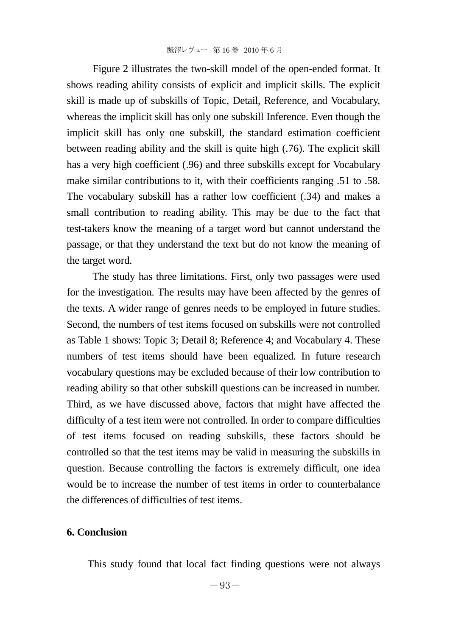Figure 2 illustrates the two-skill model of the open-ended format. It shows reading ability consists of explicit and implicit skills. The explicit skill is made up of subskills of Topic, Detail, Reference, and Vocabulary, whereas the implicit skill has only one subskill Inference. Even though the implicit skill has only one subskill, the standard estimation coefficient between reading ability and the skill is quite high (.76). The explicit skill has a very high coefficient (.96) and three subskills except for Vocabulary make similar contributions to it, with their coefficients ranging .51 to .58. The vocabulary subskill has a rather low coefficient (.34) and makes a small contribution to reading ability. This may be due to the fact that test-takers know the meaning of a target word but cannot understand the passage, or that they understand the text but do not know the meaning of the target word.

The study has three limitations. First, only two passages were used for the investigation. The results may have been affected by the genres of the texts. A wider range of genres needs to be employed in future studies. Second, the numbers of test items focused on subskills were not controlled as Table 1 shows: Topic 3; Detail 8; Reference 4; and Vocabulary 4. These numbers of test items should have been equalized. In future research vocabulary questions may be excluded because of their low contribution to reading ability so that other subskill questions can be increased in number. Third, as we have discussed above, factors that might have affected the difficulty of a test item were not controlled. In order to compare difficulties of test items focused on reading subskills, these factors should be controlled so that the test items may be valid in measuring the subskills in question. Because controlling the factors is extremely difficult, one idea would be to increase the number of test items in order to counterbalance the differences of difficulties of test items.

## **6. Conclusion**

This study found that local fact finding questions were not always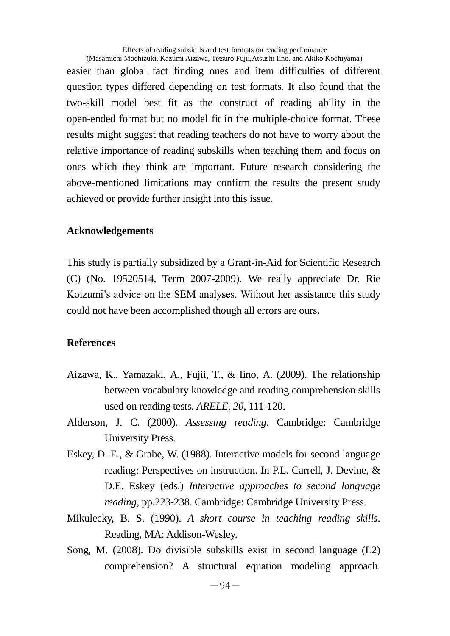Effects of reading subskills and test formats on reading performance (Masamichi Mochizuki, Kazumi Aizawa, Tetsuro Fujii,Atsushi Iino, and Akiko Kochiyama)

easier than global fact finding ones and item difficulties of different question types differed depending on test formats. It also found that the two-skill model best fit as the construct of reading ability in the open-ended format but no model fit in the multiple-choice format. These results might suggest that reading teachers do not have to worry about the relative importance of reading subskills when teaching them and focus on ones which they think are important. Future research considering the above-mentioned limitations may confirm the results the present study achieved or provide further insight into this issue.

# **Acknowledgements**

This study is partially subsidized by a Grant-in-Aid for Scientific Research (C) (No. 19520514, Term 2007-2009). We really appreciate Dr. Rie Koizumi's advice on the SEM analyses. Without her assistance this study could not have been accomplished though all errors are ours.

# **References**

- Aizawa, K., Yamazaki, A., Fujii, T., & Iino, A. (2009). The relationship between vocabulary knowledge and reading comprehension skills used on reading tests. *ARELE, 20*, 111-120.
- Alderson, J. C. (2000). *Assessing reading*. Cambridge: Cambridge University Press.
- Eskey, D. E., & Grabe, W. (1988). Interactive models for second language reading: Perspectives on instruction. In P.L. Carrell, J. Devine, & D.E. Eskey (eds.) *Interactive approaches to second language reading*, pp.223-238. Cambridge: Cambridge University Press.
- Mikulecky, B. S. (1990). *A short course in teaching reading skills*. Reading, MA: Addison-Wesley.
- Song, M. (2008). Do divisible subskills exist in second language (L2) comprehension? A structural equation modeling approach.